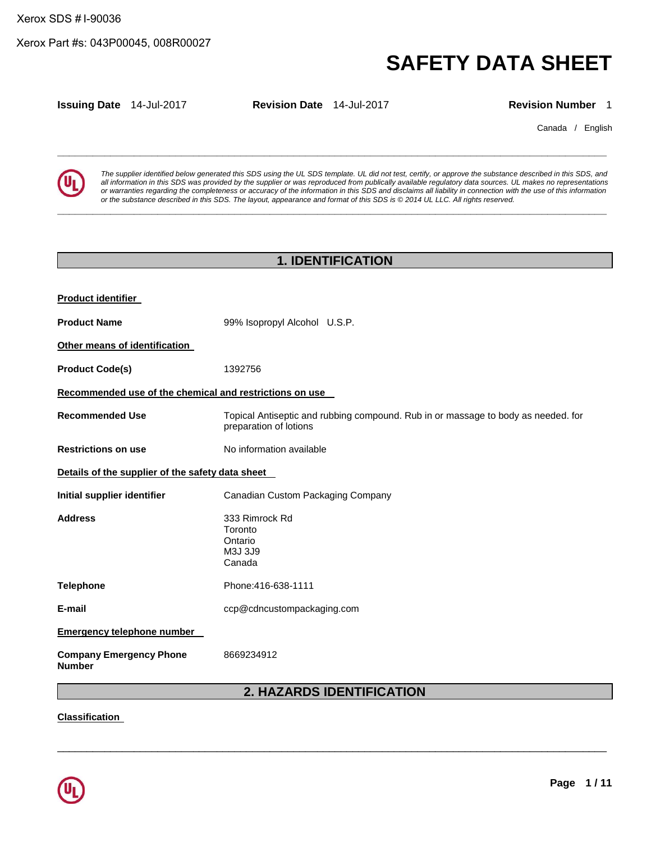Xerox Part #s: 043P00045, 008R00027

# **SAFETY DATA SHEET**

**Issuing Date** 14-Jul-2017 **Revision Date** 14-Jul-2017 **Revision Number** 1

**\_\_\_\_\_\_\_\_\_\_\_\_\_\_\_\_\_\_\_\_\_\_\_\_\_\_\_\_\_\_\_\_\_\_\_\_\_\_\_\_\_\_\_\_\_\_\_\_\_\_\_\_\_\_\_\_\_\_\_\_\_\_\_\_\_\_\_\_\_\_\_\_\_\_\_\_\_\_\_\_\_\_\_\_\_\_\_\_\_\_\_\_\_** 

**\_\_\_\_\_\_\_\_\_\_\_\_\_\_\_\_\_\_\_\_\_\_\_\_\_\_\_\_\_\_\_\_\_\_\_\_\_\_\_\_\_\_\_\_\_\_\_\_\_\_\_\_\_\_\_\_\_\_\_\_\_\_\_\_\_\_\_\_\_\_\_\_\_\_\_\_\_\_\_\_\_\_\_\_\_\_\_\_\_\_\_\_\_** 

Canada / English



*The supplier identified below generated this SDS using the UL SDS template. UL did not test, certify, or approve the substance described in this SDS, and all information in this SDS was provided by the supplier or was reproduced from publically available regulatory data sources. UL makes no representations or warranties regarding the completeness or accuracy of the information in this SDS and disclaims all liability in connection with the use of this information or the substance described in this SDS. The layout, appearance and format of this SDS is © 2014 UL LLC. All rights reserved.* 

## **1. IDENTIFICATION**

| <b>Product identifier</b>                               |                                                                                                             |
|---------------------------------------------------------|-------------------------------------------------------------------------------------------------------------|
| <b>Product Name</b>                                     | 99% Isopropyl Alcohol U.S.P.                                                                                |
| Other means of identification                           |                                                                                                             |
| <b>Product Code(s)</b>                                  | 1392756                                                                                                     |
| Recommended use of the chemical and restrictions on use |                                                                                                             |
| <b>Recommended Use</b>                                  | Topical Antiseptic and rubbing compound. Rub in or massage to body as needed. for<br>preparation of lotions |
| <b>Restrictions on use</b>                              | No information available                                                                                    |
| Details of the supplier of the safety data sheet        |                                                                                                             |
| Initial supplier identifier                             | Canadian Custom Packaging Company                                                                           |
| <b>Address</b>                                          | 333 Rimrock Rd<br>Toronto<br>Ontario<br>M3J 3J9<br>Canada                                                   |
| <b>Telephone</b>                                        | Phone: 416-638-1111                                                                                         |
| E-mail                                                  | ccp@cdncustompackaging.com                                                                                  |
| <b>Emergency telephone number</b>                       |                                                                                                             |
| <b>Company Emergency Phone</b><br><b>Number</b>         | 8669234912                                                                                                  |

## **2. HAZARDS IDENTIFICATION**

\_\_\_\_\_\_\_\_\_\_\_\_\_\_\_\_\_\_\_\_\_\_\_\_\_\_\_\_\_\_\_\_\_\_\_\_\_\_\_\_\_\_\_\_\_\_\_\_\_\_\_\_\_\_\_\_\_\_\_\_\_\_\_\_\_\_\_\_\_\_\_\_\_\_\_\_\_\_\_\_\_\_\_\_\_\_\_\_\_\_\_\_\_

**Classification** 

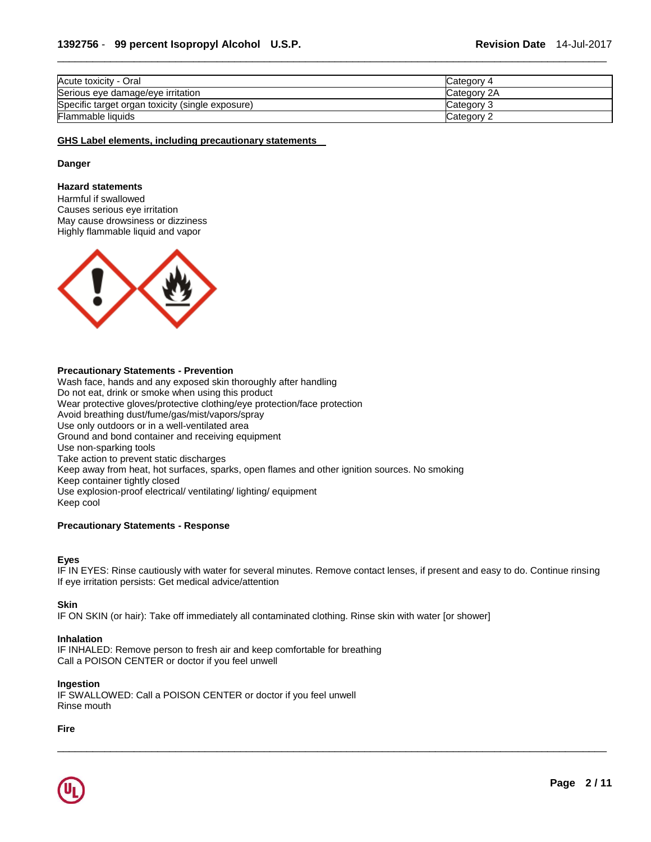| Acute toxicity - Oral                            | Category 4  |
|--------------------------------------------------|-------------|
| Serious eye damage/eye irritation                | Category 2A |
| Specific target organ toxicity (single exposure) | Category 3  |
| Flammable liquids                                | Category 2  |

\_\_\_\_\_\_\_\_\_\_\_\_\_\_\_\_\_\_\_\_\_\_\_\_\_\_\_\_\_\_\_\_\_\_\_\_\_\_\_\_\_\_\_\_\_\_\_\_\_\_\_\_\_\_\_\_\_\_\_\_\_\_\_\_\_\_\_\_\_\_\_\_\_\_\_\_\_\_\_\_\_\_\_\_\_\_\_\_\_\_\_\_\_

#### **GHS Label elements, including precautionary statements**

#### **Danger**

#### **Hazard statements**

Harmful if swallowed Causes serious eye irritation May cause drowsiness or dizziness Highly flammable liquid and vapor



#### **Precautionary Statements - Prevention**

Wash face, hands and any exposed skin thoroughly after handling Do not eat, drink or smoke when using this product Wear protective gloves/protective clothing/eye protection/face protection Avoid breathing dust/fume/gas/mist/vapors/spray Use only outdoors or in a well-ventilated area Ground and bond container and receiving equipment Use non-sparking tools Take action to prevent static discharges Keep away from heat, hot surfaces, sparks, open flames and other ignition sources. No smoking Keep container tightly closed Use explosion-proof electrical/ ventilating/ lighting/ equipment Keep cool

## **Precautionary Statements - Response**

#### **Eyes**

IF IN EYES: Rinse cautiously with water for several minutes. Remove contact lenses, if present and easy to do. Continue rinsing If eye irritation persists: Get medical advice/attention

\_\_\_\_\_\_\_\_\_\_\_\_\_\_\_\_\_\_\_\_\_\_\_\_\_\_\_\_\_\_\_\_\_\_\_\_\_\_\_\_\_\_\_\_\_\_\_\_\_\_\_\_\_\_\_\_\_\_\_\_\_\_\_\_\_\_\_\_\_\_\_\_\_\_\_\_\_\_\_\_\_\_\_\_\_\_\_\_\_\_\_\_\_

#### **Skin**

IF ON SKIN (or hair): Take off immediately all contaminated clothing. Rinse skin with water [or shower]

## **Inhalation**

IF INHALED: Remove person to fresh air and keep comfortable for breathing Call a POISON CENTER or doctor if you feel unwell

## **Ingestion**

IF SWALLOWED: Call a POISON CENTER or doctor if you feel unwell Rinse mouth

**Fire**

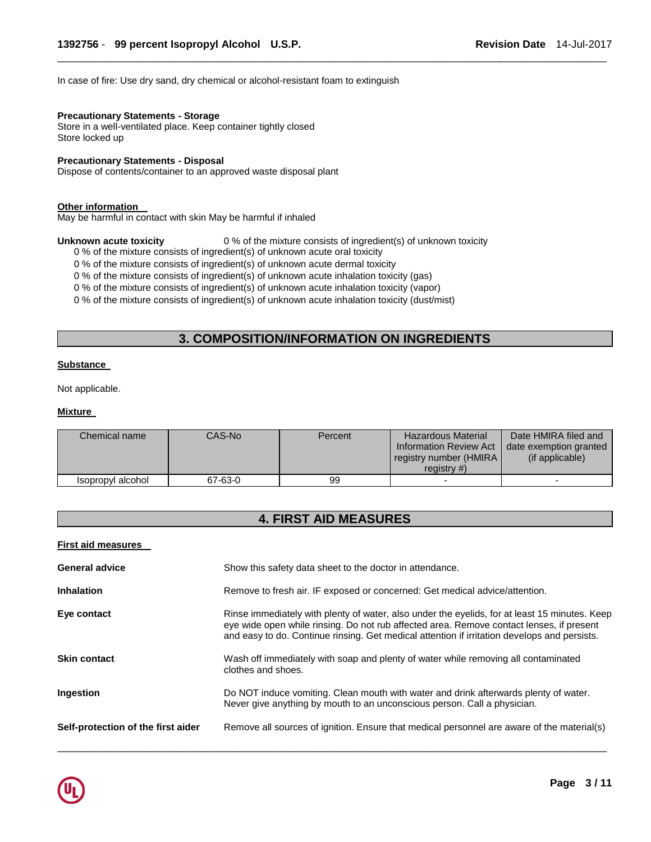In case of fire: Use dry sand, dry chemical or alcohol-resistant foam to extinguish

#### **Precautionary Statements - Storage**

Store in a well-ventilated place. Keep container tightly closed Store locked up

#### **Precautionary Statements - Disposal**

Dispose of contents/container to an approved waste disposal plant

#### **Other information**

May be harmful in contact with skin May be harmful if inhaled

**Unknown acute toxicity** 0 % of the mixture consists of ingredient(s) of unknown toxicity

0 % of the mixture consists of ingredient(s) of unknown acute oral toxicity

0 % of the mixture consists of ingredient(s) of unknown acute dermal toxicity 0 % of the mixture consists of ingredient(s) of unknown acute inhalation toxicity (gas)

0 % of the mixture consists of ingredient(s) of unknown acute inhalation toxicity (vapor)

0 % of the mixture consists of ingredient(s) of unknown acute inhalation toxicity (dust/mist)

## **3. COMPOSITION/INFORMATION ON INGREDIENTS**

\_\_\_\_\_\_\_\_\_\_\_\_\_\_\_\_\_\_\_\_\_\_\_\_\_\_\_\_\_\_\_\_\_\_\_\_\_\_\_\_\_\_\_\_\_\_\_\_\_\_\_\_\_\_\_\_\_\_\_\_\_\_\_\_\_\_\_\_\_\_\_\_\_\_\_\_\_\_\_\_\_\_\_\_\_\_\_\_\_\_\_\_\_

#### **Substance**

Not applicable.

#### **Mixture**

| Chemical name     | CAS-No  | Percent | <b>Hazardous Material</b><br><b>Information Review Act</b><br>registry number (HMIRA)<br>registry $#$ ) | Date HMIRA filed and<br>date exemption granted<br>(if applicable) |
|-------------------|---------|---------|---------------------------------------------------------------------------------------------------------|-------------------------------------------------------------------|
| Isopropyl alcohol | 67-63-0 | 99      |                                                                                                         |                                                                   |

## **4. FIRST AID MEASURES**

| <b>First aid measures</b>          |                                                                                                                                                                                                                                                                                           |
|------------------------------------|-------------------------------------------------------------------------------------------------------------------------------------------------------------------------------------------------------------------------------------------------------------------------------------------|
| <b>General advice</b>              | Show this safety data sheet to the doctor in attendance.                                                                                                                                                                                                                                  |
| <b>Inhalation</b>                  | Remove to fresh air. IF exposed or concerned: Get medical advice/attention.                                                                                                                                                                                                               |
| Eye contact                        | Rinse immediately with plenty of water, also under the eyelids, for at least 15 minutes. Keep<br>eye wide open while rinsing. Do not rub affected area. Remove contact lenses, if present<br>and easy to do. Continue rinsing. Get medical attention if irritation develops and persists. |
| <b>Skin contact</b>                | Wash off immediately with soap and plenty of water while removing all contaminated<br>clothes and shoes.                                                                                                                                                                                  |
| <b>Ingestion</b>                   | Do NOT induce vomiting. Clean mouth with water and drink afterwards plenty of water.<br>Never give anything by mouth to an unconscious person. Call a physician.                                                                                                                          |
| Self-protection of the first aider | Remove all sources of ignition. Ensure that medical personnel are aware of the material(s)                                                                                                                                                                                                |

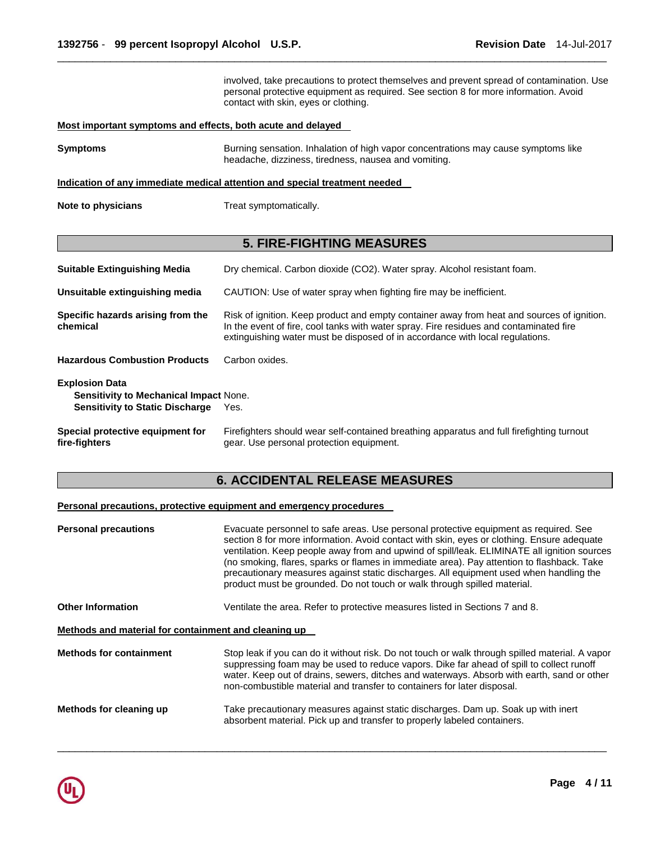involved, take precautions to protect themselves and prevent spread of contamination. Use personal protective equipment as required. See section 8 for more information. Avoid contact with skin, eyes or clothing.

#### **Most important symptoms and effects, both acute and delayed**

**Symptoms Burning sensation.** Inhalation of high vapor concentrations may cause symptoms like headache, dizziness, tiredness, nausea and vomiting.

\_\_\_\_\_\_\_\_\_\_\_\_\_\_\_\_\_\_\_\_\_\_\_\_\_\_\_\_\_\_\_\_\_\_\_\_\_\_\_\_\_\_\_\_\_\_\_\_\_\_\_\_\_\_\_\_\_\_\_\_\_\_\_\_\_\_\_\_\_\_\_\_\_\_\_\_\_\_\_\_\_\_\_\_\_\_\_\_\_\_\_\_\_

#### **Indication of any immediate medical attention and special treatment needed**

**Note to physicians Treat symptomatically.** 

## **5. FIRE-FIGHTING MEASURES**

| <b>Suitable Extinguishing Media</b>                                                                              | Dry chemical. Carbon dioxide (CO2). Water spray. Alcohol resistant foam.                                                                                                                                                                                              |
|------------------------------------------------------------------------------------------------------------------|-----------------------------------------------------------------------------------------------------------------------------------------------------------------------------------------------------------------------------------------------------------------------|
| Unsuitable extinguishing media                                                                                   | CAUTION: Use of water spray when fighting fire may be inefficient.                                                                                                                                                                                                    |
| Specific hazards arising from the<br>chemical                                                                    | Risk of ignition. Keep product and empty container away from heat and sources of ignition.<br>In the event of fire, cool tanks with water spray. Fire residues and contaminated fire<br>extinguishing water must be disposed of in accordance with local regulations. |
| <b>Hazardous Combustion Products</b>                                                                             | Carbon oxides.                                                                                                                                                                                                                                                        |
| <b>Explosion Data</b><br><b>Sensitivity to Mechanical Impact None.</b><br><b>Sensitivity to Static Discharge</b> | Yes.                                                                                                                                                                                                                                                                  |
| Special protective equipment for<br>fire-fighters                                                                | Firefighters should wear self-contained breathing apparatus and full firefighting turnout<br>gear. Use personal protection equipment.                                                                                                                                 |

## **6. ACCIDENTAL RELEASE MEASURES**

### **Personal precautions, protective equipment and emergency procedures**

| <b>Personal precautions</b>                          | Evacuate personnel to safe areas. Use personal protective equipment as required. See<br>section 8 for more information. Avoid contact with skin, eyes or clothing. Ensure adequate<br>ventilation. Keep people away from and upwind of spill/leak. ELIMINATE all ignition sources<br>(no smoking, flares, sparks or flames in immediate area). Pay attention to flashback. Take<br>precautionary measures against static discharges. All equipment used when handling the<br>product must be grounded. Do not touch or walk through spilled material. |  |  |  |  |
|------------------------------------------------------|-------------------------------------------------------------------------------------------------------------------------------------------------------------------------------------------------------------------------------------------------------------------------------------------------------------------------------------------------------------------------------------------------------------------------------------------------------------------------------------------------------------------------------------------------------|--|--|--|--|
| <b>Other Information</b>                             | Ventilate the area. Refer to protective measures listed in Sections 7 and 8.                                                                                                                                                                                                                                                                                                                                                                                                                                                                          |  |  |  |  |
| Methods and material for containment and cleaning up |                                                                                                                                                                                                                                                                                                                                                                                                                                                                                                                                                       |  |  |  |  |
| <b>Methods for containment</b>                       | Stop leak if you can do it without risk. Do not touch or walk through spilled material. A vapor<br>suppressing foam may be used to reduce vapors. Dike far ahead of spill to collect runoff<br>water. Keep out of drains, sewers, ditches and waterways. Absorb with earth, sand or other<br>non-combustible material and transfer to containers for later disposal.                                                                                                                                                                                  |  |  |  |  |
| Methods for cleaning up                              | Take precautionary measures against static discharges. Dam up. Soak up with inert<br>absorbent material. Pick up and transfer to properly labeled containers.                                                                                                                                                                                                                                                                                                                                                                                         |  |  |  |  |

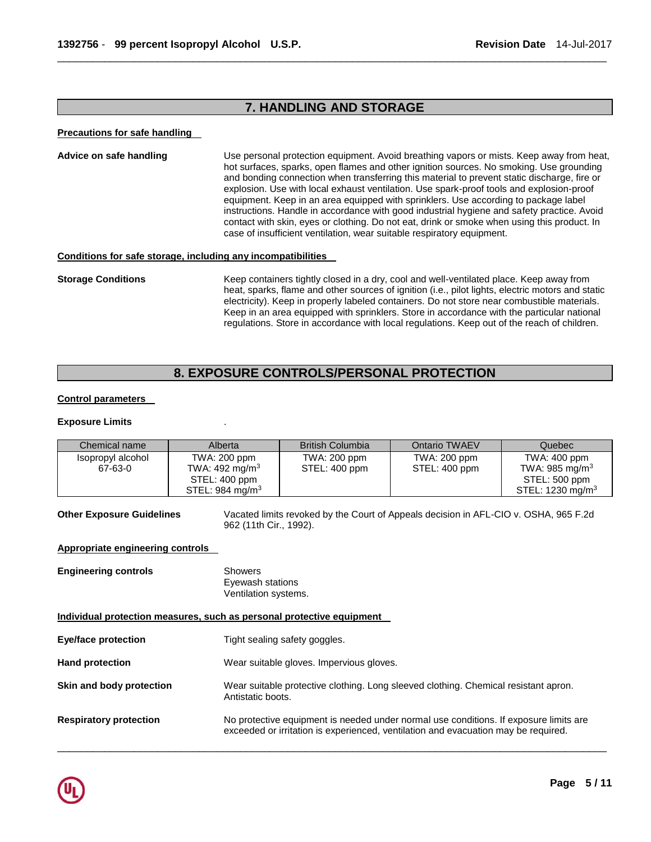## **7. HANDLING AND STORAGE**

\_\_\_\_\_\_\_\_\_\_\_\_\_\_\_\_\_\_\_\_\_\_\_\_\_\_\_\_\_\_\_\_\_\_\_\_\_\_\_\_\_\_\_\_\_\_\_\_\_\_\_\_\_\_\_\_\_\_\_\_\_\_\_\_\_\_\_\_\_\_\_\_\_\_\_\_\_\_\_\_\_\_\_\_\_\_\_\_\_\_\_\_\_

#### **Precautions for safe handling**

**Advice on safe handling** Use personal protection equipment. Avoid breathing vapors or mists. Keep away from heat, hot surfaces, sparks, open flames and other ignition sources. No smoking. Use grounding and bonding connection when transferring this material to prevent static discharge, fire or explosion. Use with local exhaust ventilation. Use spark-proof tools and explosion-proof equipment. Keep in an area equipped with sprinklers. Use according to package label instructions. Handle in accordance with good industrial hygiene and safety practice. Avoid contact with skin, eyes or clothing. Do not eat, drink or smoke when using this product. In case of insufficient ventilation, wear suitable respiratory equipment.

### **Conditions for safe storage, including any incompatibilities**

**Storage Conditions** Keep containers tightly closed in a dry, cool and well-ventilated place. Keep away from heat, sparks, flame and other sources of ignition (i.e., pilot lights, electric motors and static electricity). Keep in properly labeled containers. Do not store near combustible materials. Keep in an area equipped with sprinklers. Store in accordance with the particular national regulations. Store in accordance with local regulations. Keep out of the reach of children.

## **8. EXPOSURE CONTROLS/PERSONAL PROTECTION**

#### **Control parameters**

#### **Exposure Limits** .

| Chemical name     | Alberta                   | <b>British Columbia</b> | Ontario TWAEV | Quebec                      |
|-------------------|---------------------------|-------------------------|---------------|-----------------------------|
| Isopropyl alcohol | TWA: 200 ppm              | TWA: 200 ppm            | TWA: 200 ppm  | TWA: 400 ppm                |
| 67-63-0           | TWA: $492 \text{ mg/m}^3$ | STEL: 400 ppm           | STEL: 400 ppm | TWA: 985 mg/m <sup>3</sup>  |
|                   | STEL: 400 ppm             |                         |               | STEL: 500 ppm               |
|                   | STEL: 984 mg/m $3$        |                         |               | STEL: $1230 \text{ mg/m}^3$ |

**Other Exposure Guidelines** Vacated limits revoked by the Court of Appeals decision in AFL-CIO v. OSHA, 965 F.2d 962 (11th Cir., 1992).

#### **Appropriate engineering controls**

**Engineering controls Showers** Eyewash stations Ventilation systems.

#### **Individual protection measures, such as personal protective equipment**

| <b>Eye/face protection</b>    | Tight sealing safety goggles.                                                                                                                                               |
|-------------------------------|-----------------------------------------------------------------------------------------------------------------------------------------------------------------------------|
| <b>Hand protection</b>        | Wear suitable gloves. Impervious gloves.                                                                                                                                    |
| Skin and body protection      | Wear suitable protective clothing. Long sleeved clothing. Chemical resistant apron.<br>Antistatic boots.                                                                    |
| <b>Respiratory protection</b> | No protective equipment is needed under normal use conditions. If exposure limits are<br>exceeded or irritation is experienced, ventilation and evacuation may be required. |

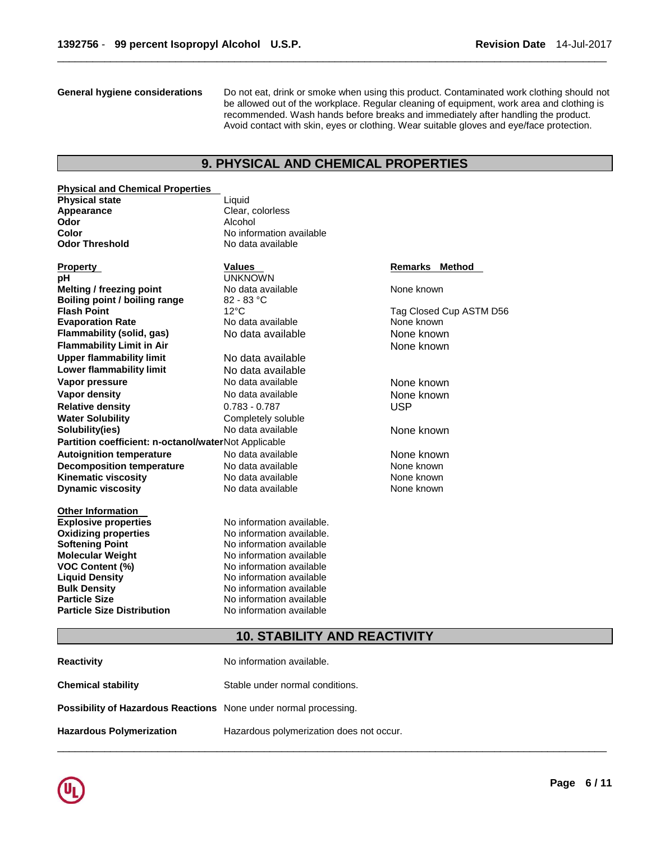Liquid

**Appearance** Clear, colorless **Odor** Alcohol

**No information available** No data available

**General hygiene considerations** Do not eat, drink or smoke when using this product. Contaminated work clothing should not be allowed out of the workplace. Regular cleaning of equipment, work area and clothing is recommended. Wash hands before breaks and immediately after handling the product. Avoid contact with skin, eyes or clothing. Wear suitable gloves and eye/face protection.

## **9. PHYSICAL AND CHEMICAL PROPERTIES**

\_\_\_\_\_\_\_\_\_\_\_\_\_\_\_\_\_\_\_\_\_\_\_\_\_\_\_\_\_\_\_\_\_\_\_\_\_\_\_\_\_\_\_\_\_\_\_\_\_\_\_\_\_\_\_\_\_\_\_\_\_\_\_\_\_\_\_\_\_\_\_\_\_\_\_\_\_\_\_\_\_\_\_\_\_\_\_\_\_\_\_\_\_

#### **Physical and Chemical Properties**

| <b>Physical state</b> |  |
|-----------------------|--|
| Appearance            |  |
| Odor                  |  |
| Color                 |  |
| <b>Odor Threshold</b> |  |

**pH** UNKNOWN **Melting / freezing point No data available Communist Communist Communist Communist Communist Communist Communist Communist Communist Communist Communist Communist Communist Communist Communist Communist Communist Commun Boiling point / boiling range**  $82 - 83$  **°C Flash Point 12°C** Tag Closed Cup ASTM D56 **Evaporation Rate No data available None known Flammability (solid, gas) No data available Mone known Flammability Limit in Air** None known **None known Upper flammability limit** No data available **Lower flammability limit** No data available **Vapor pressure No. 2010 Note Allows** Note None known **Vapor density None known No data available None known Relative density** 0.783 - 0.787 USP **Water Solubility Completely soluble Solubility(ies) No. 2012 No. 2013** Note available **No. 2014** None known **Partition coefficient: n-octanol/water** Not Applicable **Autoignition temperature No data available None known Decomposition temperature** No data available None Known None known **Kinematic viscosity 1988 COV Note Available None known** None known **Dynamic viscosity Community Community Community No data available None Known None known** 

## **Other Information**

**Explosive properties** No information available. **Oxidizing properties** No information available. **Softening Point No information available Molecular Weight**  No information available **VOC Content (%)** No information available **Liquid Density No information available Bulk Density No information available Particle Size**  No information available **Particle Size Distribution No information available** 

#### **Property Construction Constraints Values Constraints Remarks Method Property**

## **10. STABILITY AND REACTIVITY**

| Reactivity                                                              | No information available.                |
|-------------------------------------------------------------------------|------------------------------------------|
| Chemical stability                                                      | Stable under normal conditions.          |
| <b>Possibility of Hazardous Reactions</b> None under normal processing. |                                          |
| <b>Hazardous Polymerization</b>                                         | Hazardous polymerization does not occur. |

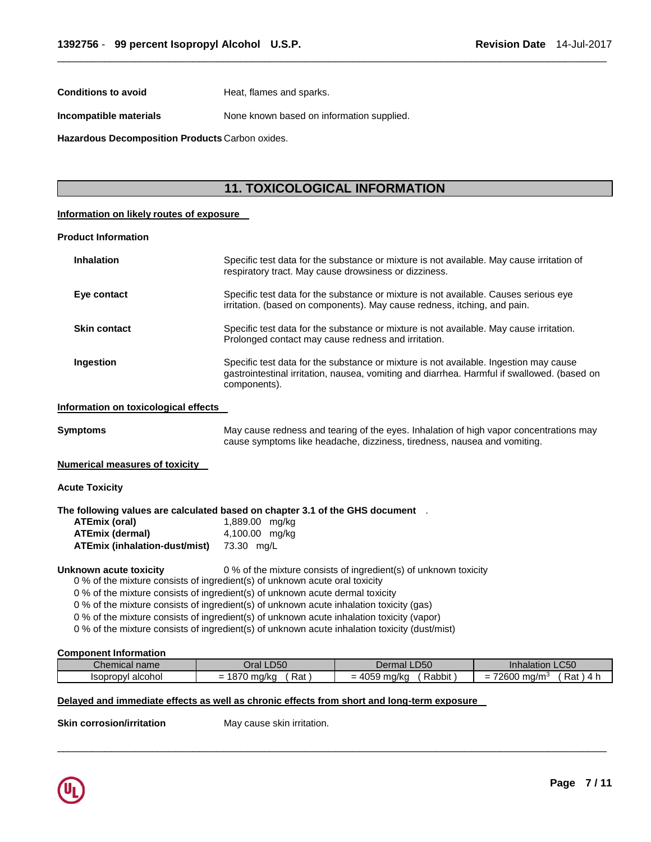**Conditions to avoid Heat, flames and sparks.** 

**Incompatible materials None known based on information supplied.** 

**Hazardous Decomposition Products** Carbon oxides.

## **11. TOXICOLOGICAL INFORMATION**

\_\_\_\_\_\_\_\_\_\_\_\_\_\_\_\_\_\_\_\_\_\_\_\_\_\_\_\_\_\_\_\_\_\_\_\_\_\_\_\_\_\_\_\_\_\_\_\_\_\_\_\_\_\_\_\_\_\_\_\_\_\_\_\_\_\_\_\_\_\_\_\_\_\_\_\_\_\_\_\_\_\_\_\_\_\_\_\_\_\_\_\_\_

## **Information on likely routes of exposure**

#### **Product Information**

| <b>Inhalation</b>                    | Specific test data for the substance or mixture is not available. May cause irritation of<br>respiratory tract. May cause drowsiness or dizziness.                                                   |
|--------------------------------------|------------------------------------------------------------------------------------------------------------------------------------------------------------------------------------------------------|
| Eye contact                          | Specific test data for the substance or mixture is not available. Causes serious eye<br>irritation. (based on components). May cause redness, itching, and pain.                                     |
| <b>Skin contact</b>                  | Specific test data for the substance or mixture is not available. May cause irritation.<br>Prolonged contact may cause redness and irritation.                                                       |
| Ingestion                            | Specific test data for the substance or mixture is not available. Ingestion may cause<br>gastrointestinal irritation, nausea, vomiting and diarrhea. Harmful if swallowed. (based on<br>components). |
| Information on toxicological effects |                                                                                                                                                                                                      |
| Symptoms                             | May cause redness and tearing of the eyes. Inhalation of high vapor concentrations may<br>cause symptoms like headache, dizziness, tiredness, nausea and vomiting.                                   |

**Numerical measures of toxicity** 

**Acute Toxicity** 

| The following values are calculated based on chapter 3.1 of the GHS document |                 |  |
|------------------------------------------------------------------------------|-----------------|--|
| ATEmix (oral)                                                                | 1,889.00 mg/kg  |  |
| ATEmiy (dormal)                                                              | $1.10000$ malka |  |

| <b>ATEmix (dermal)</b>        | 4,100.00 mg/kg |  |
|-------------------------------|----------------|--|
| ATEmix (inhalation-dust/mist) | 73.30 mg/L     |  |

#### **Unknown acute toxicity** 0 % of the mixture consists of ingredient(s) of unknown toxicity

0 % of the mixture consists of ingredient(s) of unknown acute oral toxicity

0 % of the mixture consists of ingredient(s) of unknown acute dermal toxicity

0 % of the mixture consists of ingredient(s) of unknown acute inhalation toxicity (gas)

0 % of the mixture consists of ingredient(s) of unknown acute inhalation toxicity (vapor)

0 % of the mixture consists of ingredient(s) of unknown acute inhalation toxicity (dust/mist)

#### **Component Information**

| Chemical <sup>®</sup> | $\overline{\mathsf{.}D50}$ | LD50                                                    | $\mathsf{L} \mathsf{C}50$                      |  |
|-----------------------|----------------------------|---------------------------------------------------------|------------------------------------------------|--|
| name                  | ⊃ral I                     | Dermal                                                  | Inhalation                                     |  |
| Isopropyl<br>alcohol  | $\sim$<br>Rat<br>ma/ka     | .<br>$\sim$<br>$-405c$<br>Rabbit<br>ma/ka<br>. <i>.</i> | 72600<br>Rat<br>ma/m <sup>3</sup><br>-4 h<br>- |  |

\_\_\_\_\_\_\_\_\_\_\_\_\_\_\_\_\_\_\_\_\_\_\_\_\_\_\_\_\_\_\_\_\_\_\_\_\_\_\_\_\_\_\_\_\_\_\_\_\_\_\_\_\_\_\_\_\_\_\_\_\_\_\_\_\_\_\_\_\_\_\_\_\_\_\_\_\_\_\_\_\_\_\_\_\_\_\_\_\_\_\_\_\_

### **Delayed and immediate effects as well as chronic effects from short and long-term exposure**

**Skin corrosion/irritation May cause skin irritation.** 

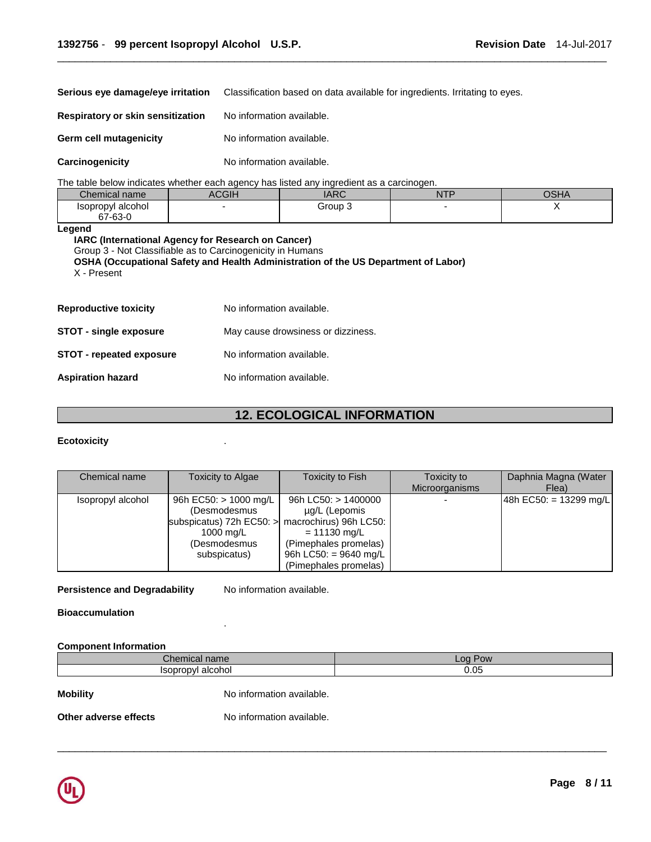| Serious eye damage/eye irritation | Classification based on data available for ingredients. Irritating to eyes. |
|-----------------------------------|-----------------------------------------------------------------------------|
| Respiratory or skin sensitization | No information available.                                                   |
| Germ cell mutagenicity            | No information available.                                                   |
| Carcinogenicity                   | No information available.                                                   |

The table below indicates whether each agency has listed any ingredient as a carcinogen.

| Chemical name     | <b>CGIH</b> | <b>IARC</b> | $-$ | $\sim$ $\sim$ $\sim$<br>பட |
|-------------------|-------------|-------------|-----|----------------------------|
| Isopropyl alcohol |             | Group 3     |     |                            |
| 67-63-0           |             |             |     |                            |

\_\_\_\_\_\_\_\_\_\_\_\_\_\_\_\_\_\_\_\_\_\_\_\_\_\_\_\_\_\_\_\_\_\_\_\_\_\_\_\_\_\_\_\_\_\_\_\_\_\_\_\_\_\_\_\_\_\_\_\_\_\_\_\_\_\_\_\_\_\_\_\_\_\_\_\_\_\_\_\_\_\_\_\_\_\_\_\_\_\_\_\_\_

**Legend** 

**IARC (International Agency for Research on Cancer)** Group 3 - Not Classifiable as to Carcinogenicity in Humans **OSHA (Occupational Safety and Health Administration of the US Department of Labor)** X - Present

| <b>Reproductive toxicity</b>    | No information available.          |
|---------------------------------|------------------------------------|
| <b>STOT - single exposure</b>   | May cause drowsiness or dizziness. |
| <b>STOT - repeated exposure</b> | No information available.          |
| Aspiration hazard               | No information available.          |

## **12. ECOLOGICAL INFORMATION**

#### **Ecotoxicity** .

| Chemical name     | Toxicity to Algae                                                                                                | Toxicity to Fish                                                                                                                                              | Toxicity to<br>Microorganisms | Daphnia Magna (Water<br>Flea) |
|-------------------|------------------------------------------------------------------------------------------------------------------|---------------------------------------------------------------------------------------------------------------------------------------------------------------|-------------------------------|-------------------------------|
| Isopropyl alcohol | 96h EC50: > 1000 mg/L  <br>(Desmodesmus<br>subspicatus) 72h $EC50:$<br>1000 mg/L<br>(Desmodesmus<br>subspicatus) | 96h LC50: $> 1400000$<br>ug/L (Lepomis<br>macrochirus) 96h LC50:<br>$= 11130$ mg/L<br>(Pimephales promelas)<br>96h LC50: = 9640 mg/L<br>(Pimephales promelas) | $\overline{\phantom{0}}$      | $ 48h$ EC50: = 13299 mg/L     |

**Persistence and Degradability** No information available.

.

**Bioaccumulation** 

### **Component Information**

| ⌒<br><b>ARCHIVE</b><br>аню<br>1.71 | $\Omega$<br>-- |
|------------------------------------|----------------|
| ווח<br>alcoho<br>lenni<br>         | 0.05           |
|                                    |                |

\_\_\_\_\_\_\_\_\_\_\_\_\_\_\_\_\_\_\_\_\_\_\_\_\_\_\_\_\_\_\_\_\_\_\_\_\_\_\_\_\_\_\_\_\_\_\_\_\_\_\_\_\_\_\_\_\_\_\_\_\_\_\_\_\_\_\_\_\_\_\_\_\_\_\_\_\_\_\_\_\_\_\_\_\_\_\_\_\_\_\_\_\_

**Mobility Mobility No information available.** 

**Other adverse effects** No information available.

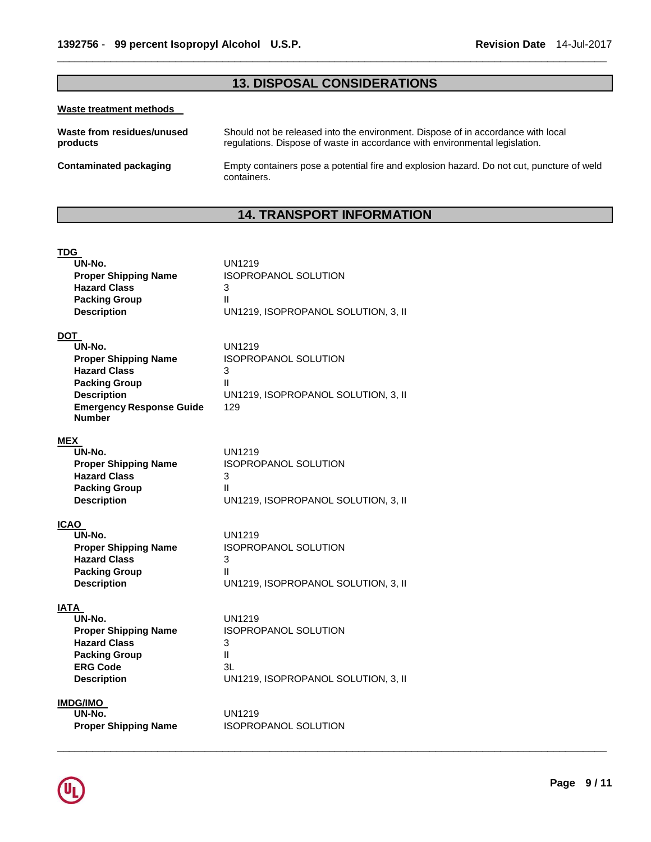## **13. DISPOSAL CONSIDERATIONS**

\_\_\_\_\_\_\_\_\_\_\_\_\_\_\_\_\_\_\_\_\_\_\_\_\_\_\_\_\_\_\_\_\_\_\_\_\_\_\_\_\_\_\_\_\_\_\_\_\_\_\_\_\_\_\_\_\_\_\_\_\_\_\_\_\_\_\_\_\_\_\_\_\_\_\_\_\_\_\_\_\_\_\_\_\_\_\_\_\_\_\_\_\_

#### **Waste treatment methods**

| Waste from residues/unused | Should not be released into the environment. Dispose of in accordance with local                         |
|----------------------------|----------------------------------------------------------------------------------------------------------|
| products                   | regulations. Dispose of waste in accordance with environmental legislation.                              |
| Contaminated packaging     | Empty containers pose a potential fire and explosion hazard. Do not cut, puncture of weld<br>containers. |

## **14. TRANSPORT INFORMATION**

\_\_\_\_\_\_\_\_\_\_\_\_\_\_\_\_\_\_\_\_\_\_\_\_\_\_\_\_\_\_\_\_\_\_\_\_\_\_\_\_\_\_\_\_\_\_\_\_\_\_\_\_\_\_\_\_\_\_\_\_\_\_\_\_\_\_\_\_\_\_\_\_\_\_\_\_\_\_\_\_\_\_\_\_\_\_\_\_\_\_\_\_\_

### **TDG**

| UN-No.<br><b>Proper Shipping Name</b><br><b>Hazard Class</b><br><b>Packing Group</b><br><b>Description</b>                                                                   | <b>UN1219</b><br><b>ISOPROPANOL SOLUTION</b><br>3<br>Ш<br>UN1219, ISOPROPANOL SOLUTION, 3, II                  |
|------------------------------------------------------------------------------------------------------------------------------------------------------------------------------|----------------------------------------------------------------------------------------------------------------|
| <b>DOT</b><br>UN-No.<br><b>Proper Shipping Name</b><br><b>Hazard Class</b><br><b>Packing Group</b><br><b>Description</b><br><b>Emergency Response Guide</b><br><b>Number</b> | <b>UN1219</b><br><b>ISOPROPANOL SOLUTION</b><br>3<br>Ш<br>UN1219, ISOPROPANOL SOLUTION, 3, II<br>129           |
| <b>MEX</b><br>UN-No.<br><b>Proper Shipping Name</b><br><b>Hazard Class</b><br><b>Packing Group</b><br><b>Description</b>                                                     | <b>UN1219</b><br><b>ISOPROPANOL SOLUTION</b><br>3<br>Ш<br>UN1219, ISOPROPANOL SOLUTION, 3, II                  |
| <b>ICAO</b><br>UN-No.<br><b>Proper Shipping Name</b><br><b>Hazard Class</b><br><b>Packing Group</b><br><b>Description</b>                                                    | <b>UN1219</b><br><b>ISOPROPANOL SOLUTION</b><br>3<br>Ш<br>UN1219, ISOPROPANOL SOLUTION, 3, II                  |
| IATA<br>UN-No.<br><b>Proper Shipping Name</b><br><b>Hazard Class</b><br><b>Packing Group</b><br><b>ERG Code</b><br><b>Description</b>                                        | <b>UN1219</b><br><b>ISOPROPANOL SOLUTION</b><br>3<br>$\mathbf{H}$<br>3L<br>UN1219, ISOPROPANOL SOLUTION, 3, II |
| <b>IMDG/IMO</b><br>UN-No.<br><b>Proper Shipping Name</b>                                                                                                                     | <b>UN1219</b><br><b>ISOPROPANOL SOLUTION</b>                                                                   |

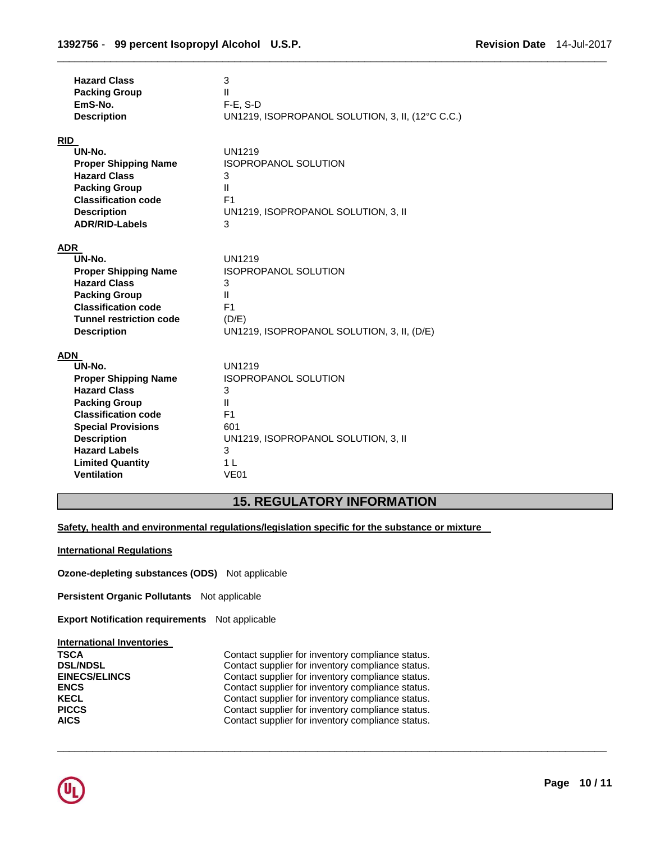| <b>Hazard Class</b><br><b>Packing Group</b><br>EmS-No.<br><b>Description</b>                                                                                                                                                                                 | 3<br>$\mathbf{H}$<br>$F-E$ , S-D<br>UN1219, ISOPROPANOL SOLUTION, 3, II, (12°C C.C.)                                                                                  |
|--------------------------------------------------------------------------------------------------------------------------------------------------------------------------------------------------------------------------------------------------------------|-----------------------------------------------------------------------------------------------------------------------------------------------------------------------|
| <b>RID</b><br>UN-No.<br><b>Proper Shipping Name</b><br><b>Hazard Class</b><br><b>Packing Group</b><br><b>Classification code</b><br><b>Description</b><br><b>ADR/RID-Labels</b>                                                                              | <b>UN1219</b><br><b>ISOPROPANOL SOLUTION</b><br>3<br>$\mathbf{H}$<br>F <sub>1</sub><br>UN1219, ISOPROPANOL SOLUTION, 3, II<br>3                                       |
| <b>ADR</b><br>UN-No.<br><b>Proper Shipping Name</b><br><b>Hazard Class</b><br><b>Packing Group</b><br><b>Classification code</b><br><b>Tunnel restriction code</b><br><b>Description</b>                                                                     | <b>UN1219</b><br><b>ISOPROPANOL SOLUTION</b><br>3<br>$\mathbf{H}$<br>F <sub>1</sub><br>(D/E)<br>UN1219, ISOPROPANOL SOLUTION, 3, II, (D/E)                            |
| <b>ADN</b><br>UN-No.<br><b>Proper Shipping Name</b><br><b>Hazard Class</b><br><b>Packing Group</b><br><b>Classification code</b><br><b>Special Provisions</b><br><b>Description</b><br><b>Hazard Labels</b><br><b>Limited Quantity</b><br><b>Ventilation</b> | UN1219<br><b>ISOPROPANOL SOLUTION</b><br>3<br>$\mathbf{H}$<br>F <sub>1</sub><br>601<br>UN1219, ISOPROPANOL SOLUTION, 3, II<br>3<br>1 <sup>1</sup><br>VE <sub>01</sub> |

## **15. REGULATORY INFORMATION**

\_\_\_\_\_\_\_\_\_\_\_\_\_\_\_\_\_\_\_\_\_\_\_\_\_\_\_\_\_\_\_\_\_\_\_\_\_\_\_\_\_\_\_\_\_\_\_\_\_\_\_\_\_\_\_\_\_\_\_\_\_\_\_\_\_\_\_\_\_\_\_\_\_\_\_\_\_\_\_\_\_\_\_\_\_\_\_\_\_\_\_\_\_

\_\_\_\_\_\_\_\_\_\_\_\_\_\_\_\_\_\_\_\_\_\_\_\_\_\_\_\_\_\_\_\_\_\_\_\_\_\_\_\_\_\_\_\_\_\_\_\_\_\_\_\_\_\_\_\_\_\_\_\_\_\_\_\_\_\_\_\_\_\_\_\_\_\_\_\_\_\_\_\_\_\_\_\_\_\_\_\_\_\_\_\_\_

**Safety, health and environmental regulations/legislation specific for the substance or mixture** 

**International Regulations**

**Ozone-depleting substances (ODS)** Not applicable

**Persistent Organic Pollutants** Not applicable

**Export Notification requirements** Not applicable

#### **International Inventories**

| TSCA                 | Contact supplier for inventory compliance status. |
|----------------------|---------------------------------------------------|
| <b>DSL/NDSL</b>      | Contact supplier for inventory compliance status. |
| <b>EINECS/ELINCS</b> | Contact supplier for inventory compliance status. |
| <b>ENCS</b>          | Contact supplier for inventory compliance status. |
| KECL                 | Contact supplier for inventory compliance status. |
| <b>PICCS</b>         | Contact supplier for inventory compliance status. |
| <b>AICS</b>          | Contact supplier for inventory compliance status. |